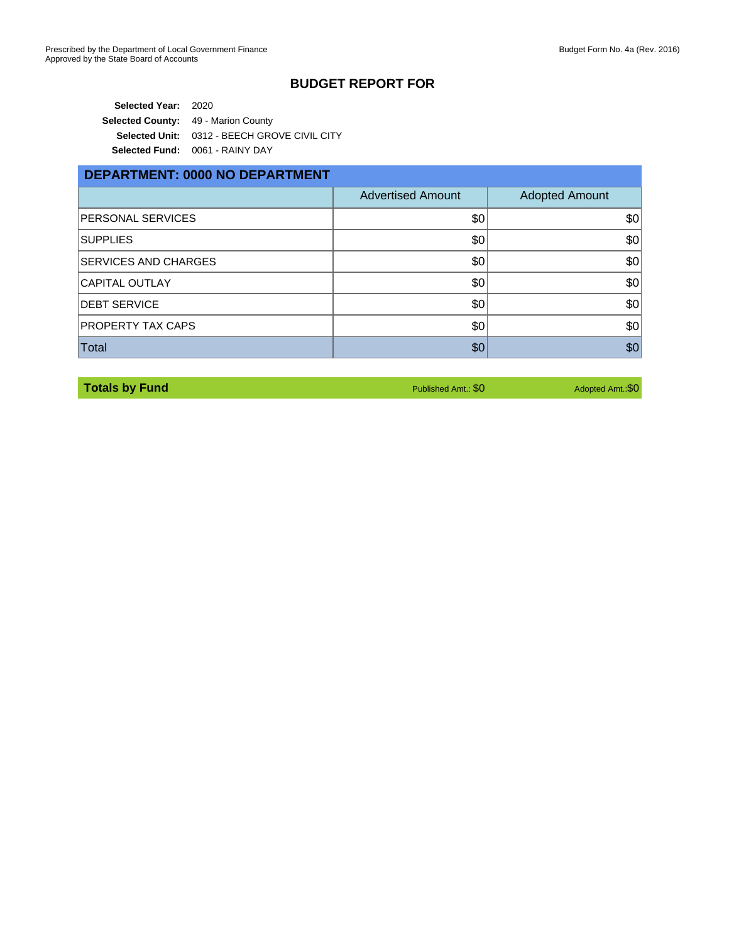**Selected Year:** 2020 **Selected County:** 49 - Marion County **Selected Unit:** 0312 - BEECH GROVE CIVIL CITY **Selected Fund:** 0061 - RAINY DAY

#### **DEPARTMENT: 0000 NO DEPARTMENT**

|                             | <b>Advertised Amount</b> | <b>Adopted Amount</b> |
|-----------------------------|--------------------------|-----------------------|
| <b>PERSONAL SERVICES</b>    | \$0                      | \$0                   |
| <b>SUPPLIES</b>             | \$0                      | \$0                   |
| <b>SERVICES AND CHARGES</b> | \$0                      | \$0                   |
| <b>CAPITAL OUTLAY</b>       | \$0                      | \$0                   |
| <b>DEBT SERVICE</b>         | \$0                      | \$0                   |
| <b>PROPERTY TAX CAPS</b>    | \$0                      | \$0                   |
| Total                       | \$0                      | \$0                   |

| <b>Totals by Fund</b> |  |  |
|-----------------------|--|--|

**Published Amt.: \$0 Adopted Amt.: \$0 Adopted Amt.: \$0**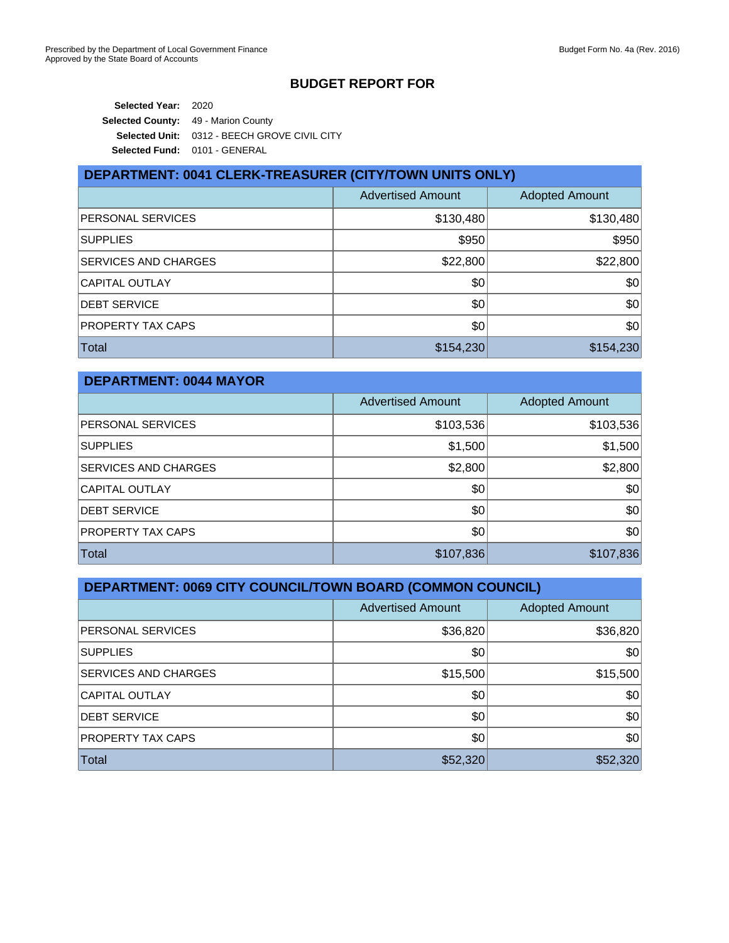**Selected Year:** 2020 **Selected County:** 49 - Marion County **Selected Unit:** 0312 - BEECH GROVE CIVIL CITY **Selected Fund:** 0101 - GENERAL

| DEPARTMENT: 0041 CLERK-TREASURER (CITY/TOWN UNITS ONLY) |                          |                       |
|---------------------------------------------------------|--------------------------|-----------------------|
|                                                         | <b>Advertised Amount</b> | <b>Adopted Amount</b> |
| PERSONAL SERVICES                                       | \$130,480                | \$130,480             |
| <b>SUPPLIES</b>                                         | \$950                    | \$950                 |
| SERVICES AND CHARGES                                    | \$22,800                 | \$22,800              |
| <b>CAPITAL OUTLAY</b>                                   | \$0                      | \$0                   |
| <b>DEBT SERVICE</b>                                     | \$0                      | \$0                   |
| PROPERTY TAX CAPS                                       | \$0                      | \$0                   |
| <b>Total</b>                                            | \$154,230                | \$154,230             |

| <b>DEPARTMENT: 0044 MAYOR</b> |                          |                       |
|-------------------------------|--------------------------|-----------------------|
|                               | <b>Advertised Amount</b> | <b>Adopted Amount</b> |
| PERSONAL SERVICES             | \$103,536                | \$103,536             |
| <b>SUPPLIES</b>               | \$1,500                  | \$1,500               |
| SERVICES AND CHARGES          | \$2,800                  | \$2,800               |
| <b>CAPITAL OUTLAY</b>         | \$0                      | \$0                   |
| <b>DEBT SERVICE</b>           | \$0                      | \$0                   |
| PROPERTY TAX CAPS             | \$0                      | \$0                   |
| Total                         | \$107,836                | \$107,836             |

| DEPARTMENT: 0069 CITY COUNCIL/TOWN BOARD (COMMON COUNCIL) |                          |                       |
|-----------------------------------------------------------|--------------------------|-----------------------|
|                                                           | <b>Advertised Amount</b> | <b>Adopted Amount</b> |
| PERSONAL SERVICES                                         | \$36,820                 | \$36,820              |
| <b>SUPPLIES</b>                                           | \$0                      | \$0                   |
| SERVICES AND CHARGES                                      | \$15,500                 | \$15,500              |
| <b>CAPITAL OUTLAY</b>                                     | \$0                      | \$0                   |
| <b>DEBT SERVICE</b>                                       | \$0                      | \$0                   |
| PROPERTY TAX CAPS                                         | \$0                      | \$0                   |
| Total                                                     | \$52,320                 | \$52,320              |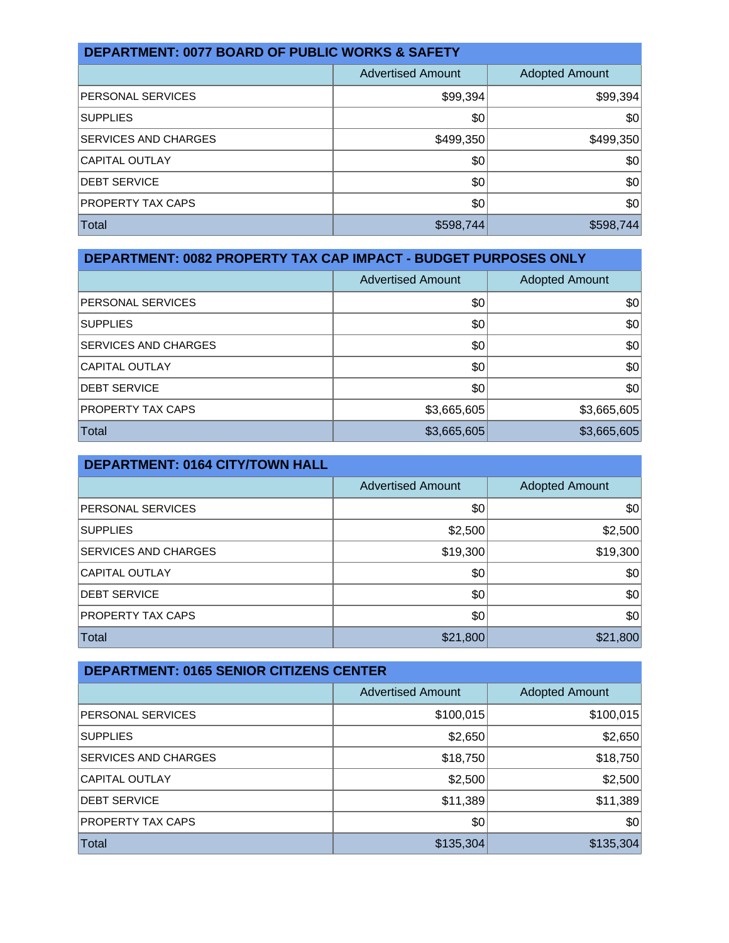| <b>DEPARTMENT: 0077 BOARD OF PUBLIC WORKS &amp; SAFETY</b> |                          |                       |  |
|------------------------------------------------------------|--------------------------|-----------------------|--|
|                                                            | <b>Advertised Amount</b> | <b>Adopted Amount</b> |  |
| <b>PERSONAL SERVICES</b>                                   | \$99,394                 | \$99,394              |  |
| <b>SUPPLIES</b>                                            | \$0                      | \$0                   |  |
| <b>SERVICES AND CHARGES</b>                                | \$499,350                | \$499,350             |  |
| <b>CAPITAL OUTLAY</b>                                      | \$0                      | \$0                   |  |
| <b>DEBT SERVICE</b>                                        | \$0                      | \$0                   |  |
| <b>PROPERTY TAX CAPS</b>                                   | \$0                      | \$0                   |  |
| Total                                                      | \$598,744                | \$598,744             |  |

| DEPARTMENT: 0082 PROPERTY TAX CAP IMPACT - BUDGET PURPOSES ONLY |                          |                       |
|-----------------------------------------------------------------|--------------------------|-----------------------|
|                                                                 | <b>Advertised Amount</b> | <b>Adopted Amount</b> |
| <b>PERSONAL SERVICES</b>                                        | \$0                      | \$0                   |
| <b>SUPPLIES</b>                                                 | \$0                      | \$0                   |
| <b>SERVICES AND CHARGES</b>                                     | \$0                      | \$0                   |
| <b>CAPITAL OUTLAY</b>                                           | \$0                      | \$0                   |
| <b>DEBT SERVICE</b>                                             | \$0                      | \$0                   |
| <b>PROPERTY TAX CAPS</b>                                        | \$3,665,605              | \$3,665,605           |
| Total                                                           | \$3,665,605              | \$3,665,605           |

| <b>DEPARTMENT: 0164 CITY/TOWN HALL</b> |                          |                       |  |
|----------------------------------------|--------------------------|-----------------------|--|
|                                        | <b>Advertised Amount</b> | <b>Adopted Amount</b> |  |
| PERSONAL SERVICES                      | \$0                      | \$0                   |  |
| <b>SUPPLIES</b>                        | \$2,500                  | \$2,500               |  |
| SERVICES AND CHARGES                   | \$19,300                 | \$19,300              |  |
| <b>CAPITAL OUTLAY</b>                  | \$0                      | \$0                   |  |
| <b>DEBT SERVICE</b>                    | \$0                      | \$0                   |  |
| PROPERTY TAX CAPS                      | \$0                      | \$0                   |  |
| <b>Total</b>                           | \$21,800                 | \$21,800              |  |

| <b>DEPARTMENT: 0165 SENIOR CITIZENS CENTER</b> |                          |                       |
|------------------------------------------------|--------------------------|-----------------------|
|                                                | <b>Advertised Amount</b> | <b>Adopted Amount</b> |
| PERSONAL SERVICES                              | \$100,015                | \$100,015             |
| <b>SUPPLIES</b>                                | \$2,650                  | \$2,650               |
| SERVICES AND CHARGES                           | \$18,750                 | \$18,750              |
| <b>CAPITAL OUTLAY</b>                          | \$2,500                  | \$2,500               |
| <b>DEBT SERVICE</b>                            | \$11,389                 | \$11,389              |
| PROPERTY TAX CAPS                              | \$0                      | \$0                   |
| Total                                          | \$135,304                | \$135,304             |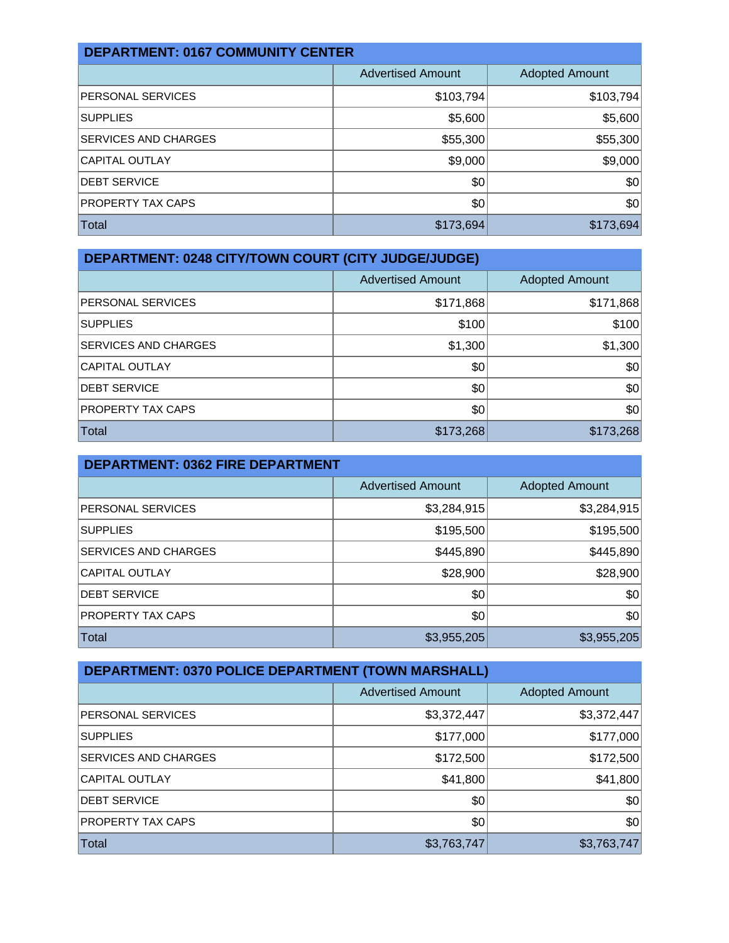| <b>DEPARTMENT: 0167 COMMUNITY CENTER</b> |                          |                       |  |
|------------------------------------------|--------------------------|-----------------------|--|
|                                          | <b>Advertised Amount</b> | <b>Adopted Amount</b> |  |
| <b>PERSONAL SERVICES</b>                 | \$103,794                | \$103,794             |  |
| <b>SUPPLIES</b>                          | \$5,600                  | \$5,600               |  |
| SERVICES AND CHARGES                     | \$55,300                 | \$55,300              |  |
| <b>CAPITAL OUTLAY</b>                    | \$9,000                  | \$9,000               |  |
| <b>DEBT SERVICE</b>                      | \$0                      | \$0                   |  |
| <b>PROPERTY TAX CAPS</b>                 | \$0                      | \$0                   |  |
| Total                                    | \$173,694                | \$173,694             |  |

| <b>DEPARTMENT: 0248 CITY/TOWN COURT (CITY JUDGE/JUDGE)</b> |                          |                       |  |
|------------------------------------------------------------|--------------------------|-----------------------|--|
|                                                            | <b>Advertised Amount</b> | <b>Adopted Amount</b> |  |
| PERSONAL SERVICES                                          | \$171,868                | \$171,868             |  |
| <b>SUPPLIES</b>                                            | \$100                    | \$100                 |  |
| SERVICES AND CHARGES                                       | \$1,300                  | \$1,300               |  |
| <b>CAPITAL OUTLAY</b>                                      | \$0                      | \$0                   |  |
| <b>DEBT SERVICE</b>                                        | \$0                      | \$0                   |  |
| PROPERTY TAX CAPS                                          | \$0                      | \$0                   |  |
| <b>Total</b>                                               | \$173,268                | \$173,268             |  |

| <b>DEPARTMENT: 0362 FIRE DEPARTMENT</b> |                          |                       |
|-----------------------------------------|--------------------------|-----------------------|
|                                         | <b>Advertised Amount</b> | <b>Adopted Amount</b> |
| PERSONAL SERVICES                       | \$3,284,915              | \$3,284,915           |
| <b>SUPPLIES</b>                         | \$195,500                | \$195,500             |
| SERVICES AND CHARGES                    | \$445,890                | \$445,890             |
| <b>CAPITAL OUTLAY</b>                   | \$28,900                 | \$28,900              |
| <b>DEBT SERVICE</b>                     | \$0                      | \$0                   |
| PROPERTY TAX CAPS                       | \$0                      | \$0                   |
| <b>Total</b>                            | \$3,955,205              | \$3,955,205           |

| DEPARTMENT: 0370 POLICE DEPARTMENT (TOWN MARSHALL) |                          |                       |  |
|----------------------------------------------------|--------------------------|-----------------------|--|
|                                                    | <b>Advertised Amount</b> | <b>Adopted Amount</b> |  |
| PERSONAL SERVICES                                  | \$3,372,447              | \$3,372,447           |  |
| <b>SUPPLIES</b>                                    | \$177,000                | \$177,000             |  |
| SERVICES AND CHARGES                               | \$172,500                | \$172,500             |  |
| <b>CAPITAL OUTLAY</b>                              | \$41,800                 | \$41,800              |  |
| <b>DEBT SERVICE</b>                                | \$0                      | \$0                   |  |
| PROPERTY TAX CAPS                                  | \$0                      | \$0                   |  |
| Total                                              | \$3,763,747              | \$3,763,747           |  |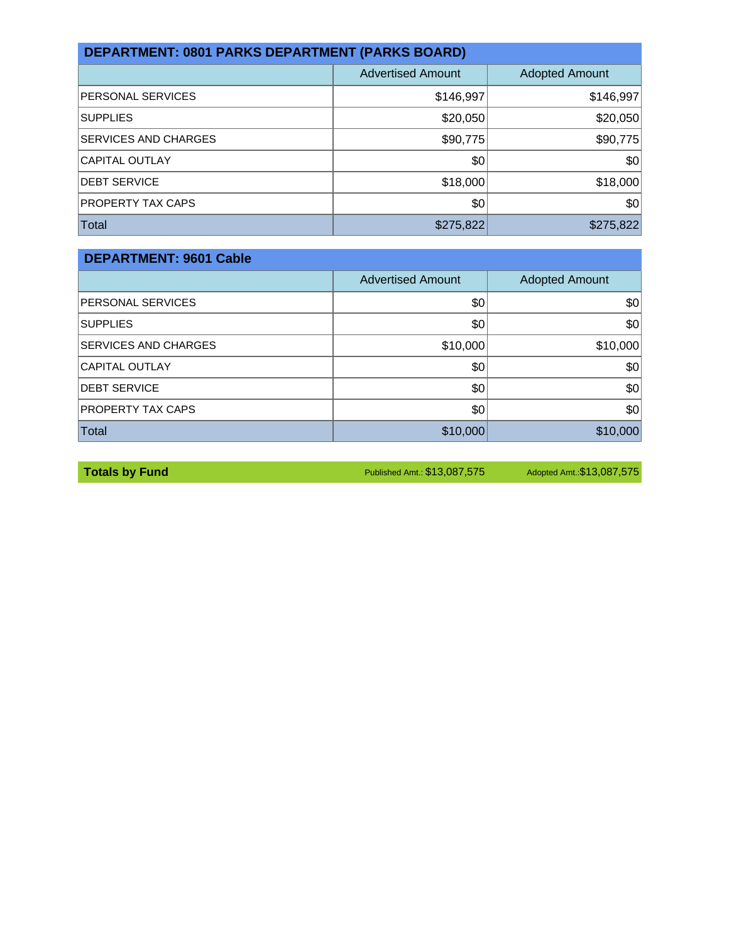| <b>DEPARTMENT: 0801 PARKS DEPARTMENT (PARKS BOARD)</b> |                          |                       |  |
|--------------------------------------------------------|--------------------------|-----------------------|--|
|                                                        | <b>Advertised Amount</b> | <b>Adopted Amount</b> |  |
| <b>PERSONAL SERVICES</b>                               | \$146,997                | \$146,997             |  |
| <b>SUPPLIES</b>                                        | \$20,050                 | \$20,050              |  |
| <b>SERVICES AND CHARGES</b>                            | \$90,775                 | \$90,775              |  |
| <b>CAPITAL OUTLAY</b>                                  | \$0                      | \$0                   |  |
| <b>DEBT SERVICE</b>                                    | \$18,000                 | \$18,000              |  |
| PROPERTY TAX CAPS                                      | \$0                      | \$0                   |  |
| Total                                                  | \$275,822                | \$275,822             |  |

| <b>DEPARTMENT: 9601 Cable</b> |                          |                       |  |
|-------------------------------|--------------------------|-----------------------|--|
|                               | <b>Advertised Amount</b> | <b>Adopted Amount</b> |  |
| PERSONAL SERVICES             | \$0                      | \$0                   |  |
| <b>SUPPLIES</b>               | \$0                      | \$0                   |  |
| SERVICES AND CHARGES          | \$10,000                 | \$10,000              |  |
| <b>CAPITAL OUTLAY</b>         | \$0                      | \$0                   |  |
| <b>DEBT SERVICE</b>           | \$0                      | \$0                   |  |
| PROPERTY TAX CAPS             | \$0                      | \$0                   |  |
| <b>Total</b>                  | \$10,000                 | \$10,000              |  |

**Totals by Fund** Published Amt.: \$13,087,575 Adopted Amt.: \$13,087,575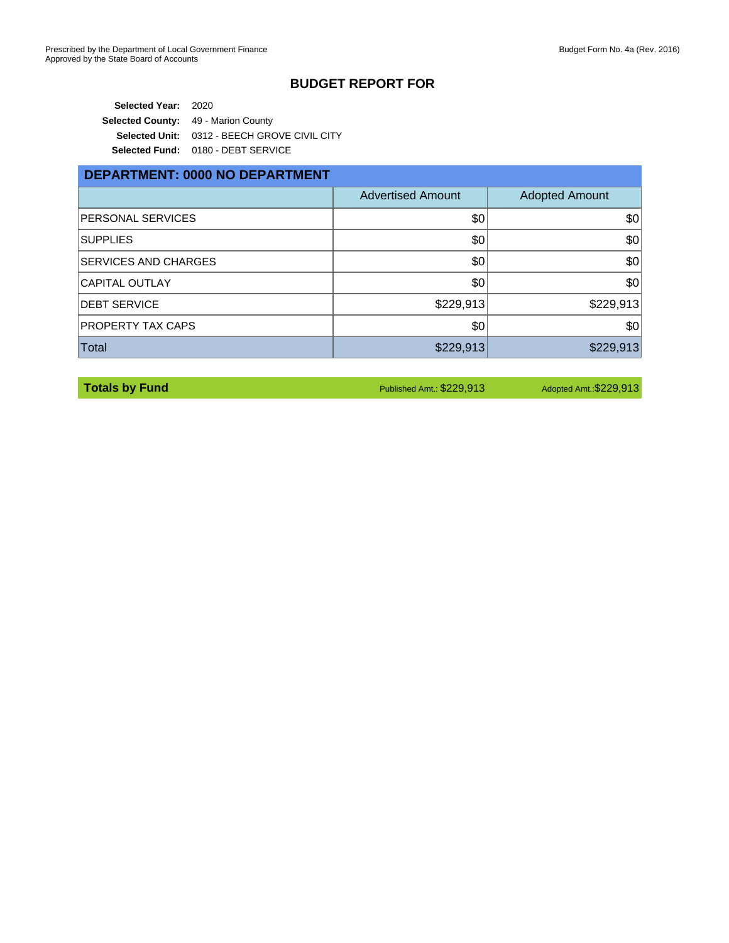**Selected Year:** 2020 **Selected County:** 49 - Marion County **Selected Unit:** 0312 - BEECH GROVE CIVIL CITY **Selected Fund:** 0180 - DEBT SERVICE

#### **DEPARTMENT: 0000 NO DEPARTMENT**

|                              | <b>Advertised Amount</b> | <b>Adopted Amount</b> |
|------------------------------|--------------------------|-----------------------|
| <b>PERSONAL SERVICES</b>     | \$0                      | \$0                   |
| <b>SUPPLIES</b>              | \$0                      | \$0                   |
| <b>ISERVICES AND CHARGES</b> | \$0                      | \$0                   |
| <b>CAPITAL OUTLAY</b>        | \$0                      | \$0                   |
| <b>DEBT SERVICE</b>          | \$229,913                | \$229,913             |
| <b>PROPERTY TAX CAPS</b>     | \$0                      | \$0                   |
| Total                        | \$229,913                | \$229,913             |

**Totals by Fund Published Amt.: \$229,913** Adopted Amt.: \$209,913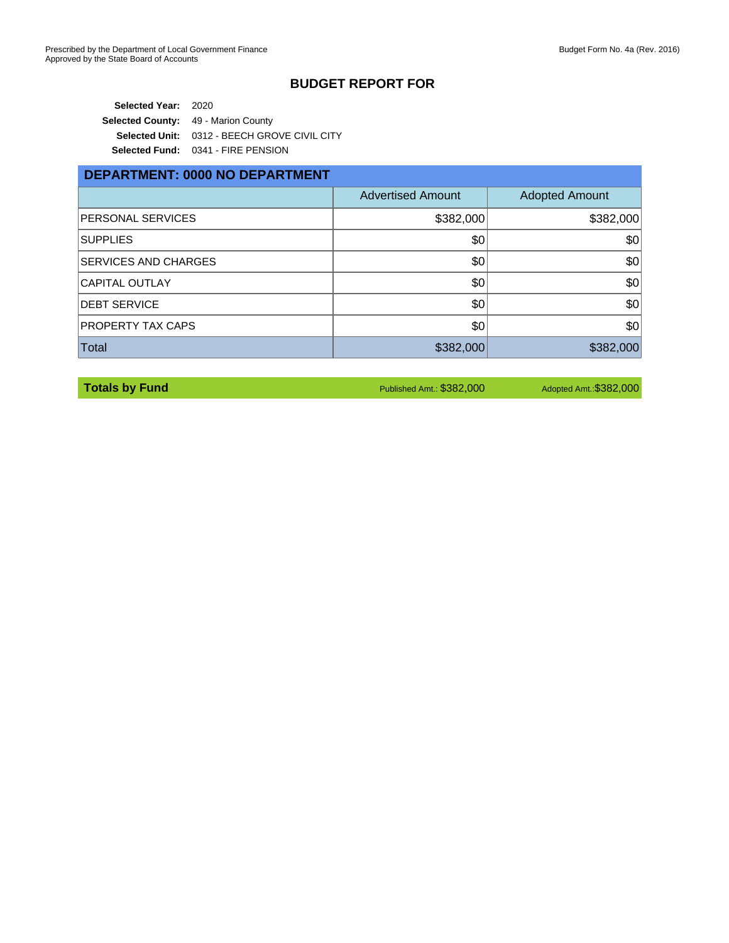**Selected Year:** 2020 **Selected County:** 49 - Marion County **Selected Unit:** 0312 - BEECH GROVE CIVIL CITY **Selected Fund:** 0341 - FIRE PENSION

#### **DEPARTMENT: 0000 NO DEPARTMENT**

|                             | <b>Advertised Amount</b> | <b>Adopted Amount</b> |
|-----------------------------|--------------------------|-----------------------|
| <b>PERSONAL SERVICES</b>    | \$382,000                | \$382,000             |
| <b>SUPPLIES</b>             | \$0                      | \$0                   |
| <b>SERVICES AND CHARGES</b> | \$0                      | \$0                   |
| <b>CAPITAL OUTLAY</b>       | \$0                      | \$0                   |
| <b>DEBT SERVICE</b>         | \$0                      | \$0                   |
| <b>PROPERTY TAX CAPS</b>    | \$0                      | \$0                   |
| Total                       | \$382,000                | \$382,000             |

**Totals by Fund Published Amt.: \$382,000** Adopted Amt.: \$382,000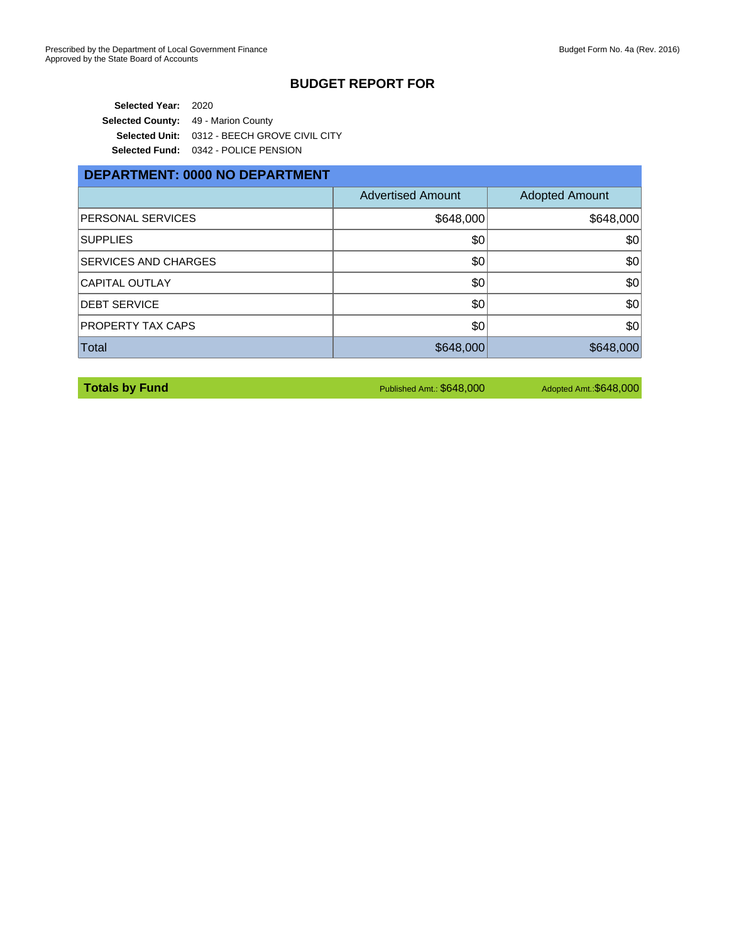**Selected Year:** 2020 **Selected County:** 49 - Marion County **Selected Unit:** 0312 - BEECH GROVE CIVIL CITY **Selected Fund:** 0342 - POLICE PENSION

# **DEPARTMENT: 0000 NO DEPARTMENT**

|                             | <b>Advertised Amount</b> | <b>Adopted Amount</b> |
|-----------------------------|--------------------------|-----------------------|
| <b>PERSONAL SERVICES</b>    | \$648,000                | \$648,000             |
| <b>SUPPLIES</b>             | \$0                      | \$0                   |
| <b>SERVICES AND CHARGES</b> | \$0                      | \$0                   |
| <b>CAPITAL OUTLAY</b>       | \$0                      | \$0                   |
| <b>DEBT SERVICE</b>         | \$0                      | \$0                   |
| <b>PROPERTY TAX CAPS</b>    | \$0                      | \$0                   |
| Total                       | \$648,000                | \$648,000             |

**Totals by Fund Published Amt.: \$648,000** Adopted Amt.: \$648,000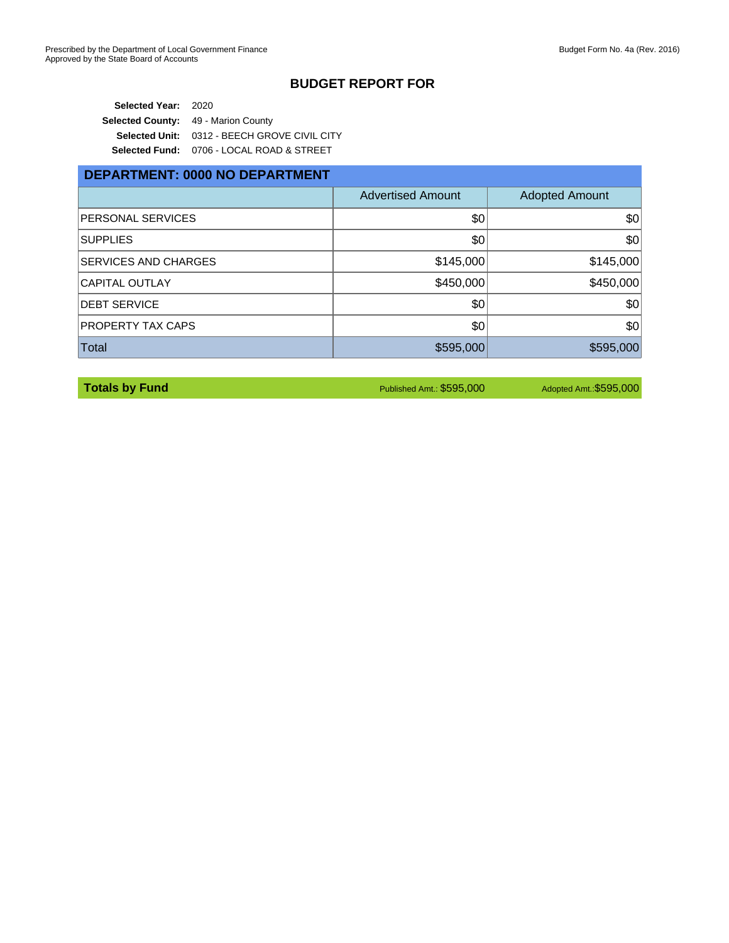**Selected Year:** 2020 Selected County: 49 - Marion County **Selected Unit:** 0312 - BEECH GROVE CIVIL CITY **Selected Fund:** 0706 - LOCAL ROAD & STREET

### **DEPARTMENT: 0000 NO DEPARTMENT**

|                             | <b>Advertised Amount</b> | <b>Adopted Amount</b> |
|-----------------------------|--------------------------|-----------------------|
| <b>PERSONAL SERVICES</b>    | \$0                      | \$0                   |
| <b>SUPPLIES</b>             | \$0                      | \$0                   |
| <b>SERVICES AND CHARGES</b> | \$145,000                | \$145,000             |
| <b>CAPITAL OUTLAY</b>       | \$450,000                | \$450,000             |
| <b>DEBT SERVICE</b>         | \$0                      | \$0                   |
| PROPERTY TAX CAPS           | \$0                      | \$0                   |
| Total                       | \$595,000                | \$595,000             |

**Totals by Fund Published Amt.: \$595,000** Adopted Amt.: \$595,000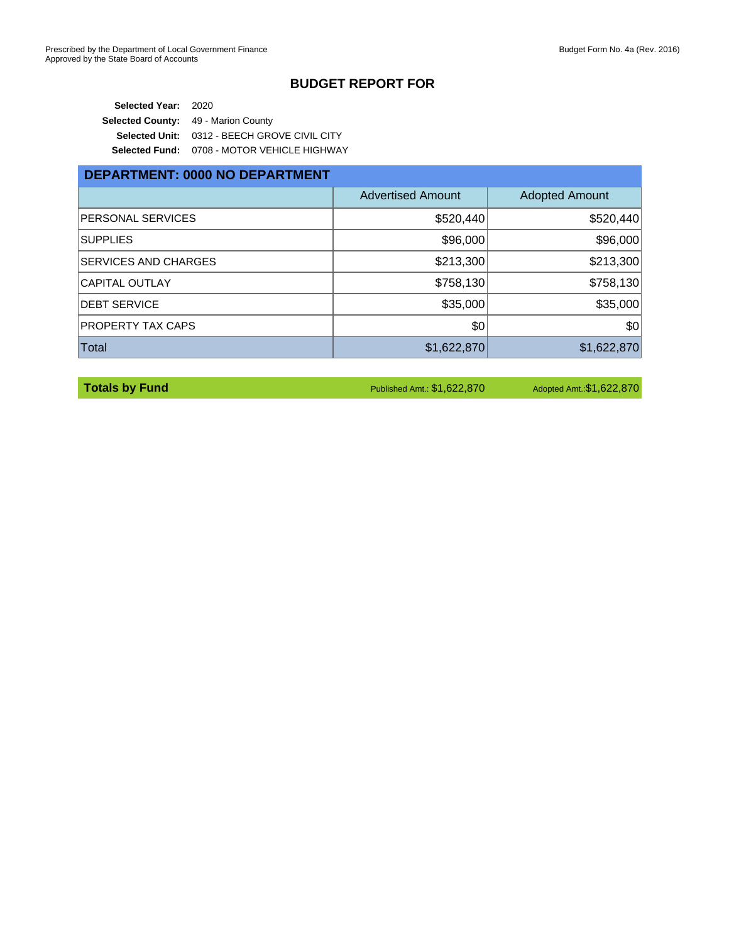**Selected Year:** 2020 **Selected County:** 49 - Marion County **Selected Unit:** 0312 - BEECH GROVE CIVIL CITY **Selected Fund:** 0708 - MOTOR VEHICLE HIGHWAY

## **DEPARTMENT: 0000 NO DEPARTMENT**

|                             | <b>Advertised Amount</b> | <b>Adopted Amount</b> |
|-----------------------------|--------------------------|-----------------------|
| <b>PERSONAL SERVICES</b>    | \$520,440                | \$520,440             |
| <b>SUPPLIES</b>             | \$96,000                 | \$96,000              |
| <b>SERVICES AND CHARGES</b> | \$213,300                | \$213,300             |
| CAPITAL OUTLAY              | \$758,130                | \$758,130             |
| <b>IDEBT SERVICE</b>        | \$35,000                 | \$35,000              |
| <b>PROPERTY TAX CAPS</b>    | \$0                      | \$0                   |
| Total                       | \$1,622,870              | \$1,622,870           |

**Totals by Fund Published Amt.: \$1,622,870** Adopted Amt.: \$1,622,870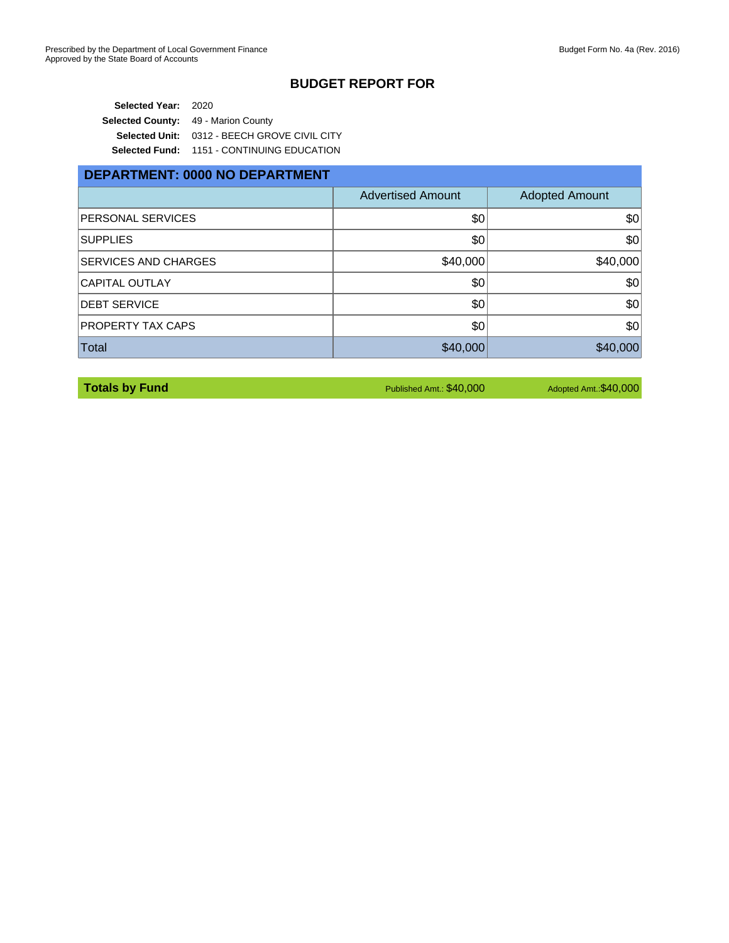**Selected Year:** 2020 **Selected County:** 49 - Marion County **Selected Unit:** 0312 - BEECH GROVE CIVIL CITY **Selected Fund:** 1151 - CONTINUING EDUCATION

| DEPARTMENT: 0000 NO DEPARTMENT |                          |                       |  |
|--------------------------------|--------------------------|-----------------------|--|
|                                | <b>Advertised Amount</b> | <b>Adopted Amount</b> |  |
| PERSONAL SERVICES              | \$0                      | \$0                   |  |
| <b>SUPPLIES</b>                | \$0                      | \$0                   |  |
| <b>SERVICES AND CHARGES</b>    | \$40,000                 | \$40,000              |  |
| <b>CAPITAL OUTLAY</b>          | \$0                      | \$0                   |  |
| <b>DEBT SERVICE</b>            | \$0                      | \$0                   |  |
| PROPERTY TAX CAPS              | \$0                      | \$0                   |  |
| Total                          | \$40,000                 | \$40,000              |  |

**Totals by Fund Published Amt.: \$40,000** Adopted Amt.: \$40,000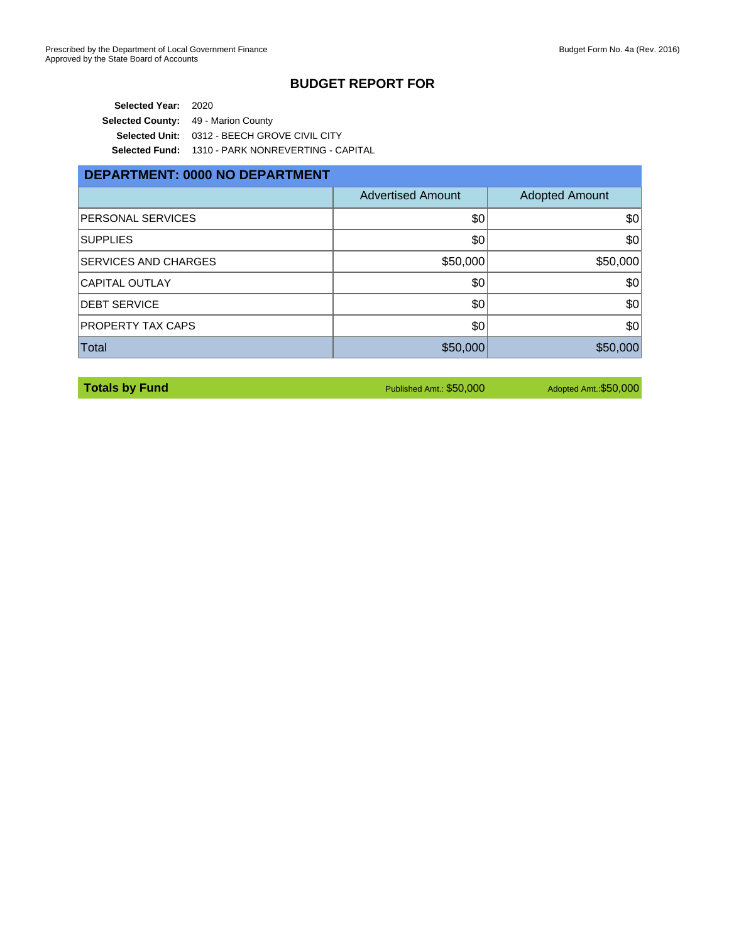**Selected Year:** 2020 **Selected County:** 49 - Marion County **Selected Unit:** 0312 - BEECH GROVE CIVIL CITY **Selected Fund:** 1310 - PARK NONREVERTING - CAPITAL

### **DEPARTMENT: 0000 NO DEPARTMENT**

|                             | <b>Advertised Amount</b> | <b>Adopted Amount</b> |
|-----------------------------|--------------------------|-----------------------|
| <b>PERSONAL SERVICES</b>    | \$0                      | \$0                   |
| <b>SUPPLIES</b>             | \$0                      | \$0                   |
| <b>SERVICES AND CHARGES</b> | \$50,000                 | \$50,000              |
| <b>CAPITAL OUTLAY</b>       | \$0                      | \$0                   |
| <b>DEBT SERVICE</b>         | \$0                      | \$0                   |
| <b>PROPERTY TAX CAPS</b>    | \$0                      | \$0                   |
| Total                       | \$50,000                 | \$50,000              |

**Totals by Fund Published Amt.: \$50,000** Adopted Amt.: \$50,000